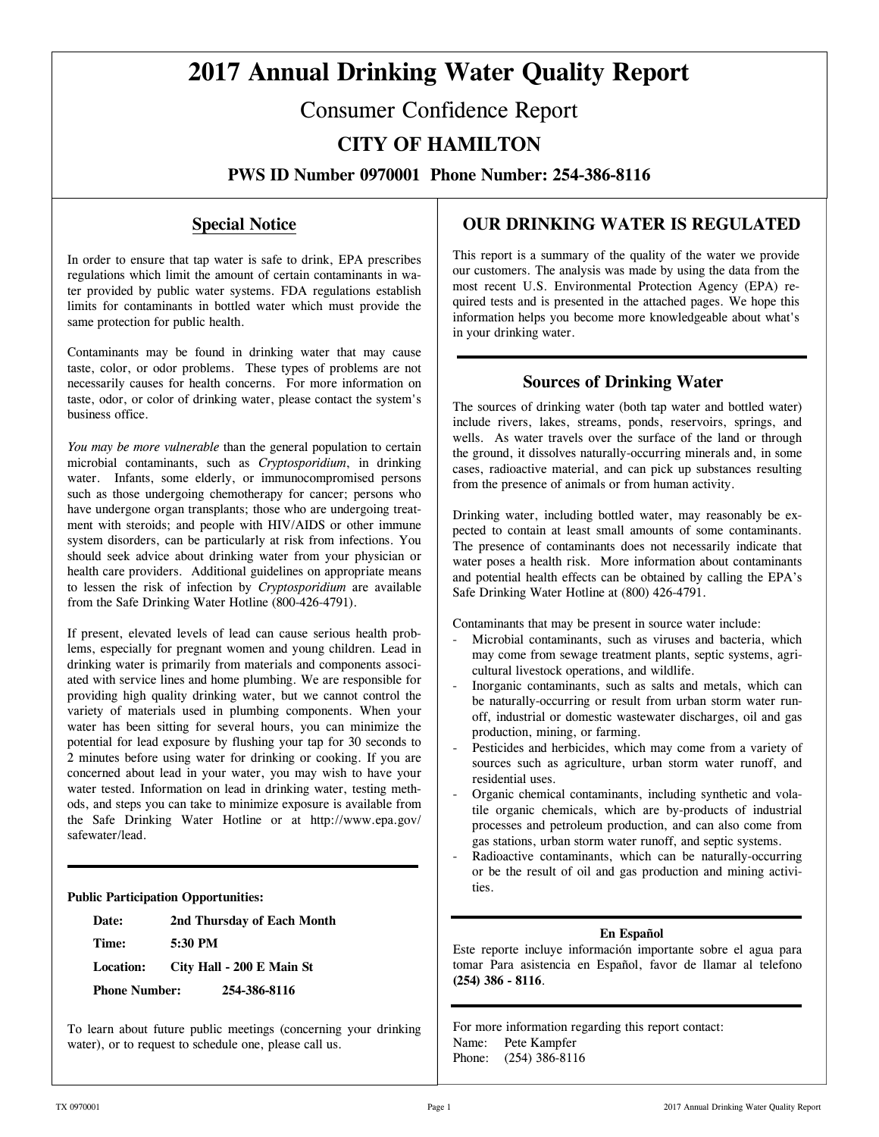# **2017 Annual Drinking Water Quality Report**

# Consumer Confidence Report

# **CITY OF HAMILTON**

**PWS ID Number 0970001 Phone Number: 254-386-8116**

### **Special Notice**

In order to ensure that tap water is safe to drink, EPA prescribes regulations which limit the amount of certain contaminants in water provided by public water systems. FDA regulations establish limits for contaminants in bottled water which must provide the same protection for public health.

Contaminants may be found in drinking water that may cause taste, color, or odor problems. These types of problems are not necessarily causes for health concerns. For more information on taste, odor, or color of drinking water, please contact the system's business office.

*You may be more vulnerable* than the general population to certain microbial contaminants, such as *Cryptosporidium*, in drinking water. Infants, some elderly, or immunocompromised persons such as those undergoing chemotherapy for cancer; persons who have undergone organ transplants; those who are undergoing treatment with steroids; and people with HIV/AIDS or other immune system disorders, can be particularly at risk from infections. You should seek advice about drinking water from your physician or health care providers. Additional guidelines on appropriate means to lessen the risk of infection by *Cryptosporidium* are available from the Safe Drinking Water Hotline (800-426-4791).

If present, elevated levels of lead can cause serious health problems, especially for pregnant women and young children. Lead in drinking water is primarily from materials and components associated with service lines and home plumbing. We are responsible for providing high quality drinking water, but we cannot control the variety of materials used in plumbing components. When your water has been sitting for several hours, you can minimize the potential for lead exposure by flushing your tap for 30 seconds to 2 minutes before using water for drinking or cooking. If you are concerned about lead in your water, you may wish to have your water tested. Information on lead in drinking water, testing methods, and steps you can take to minimize exposure is available from the Safe Drinking Water Hotline or at http://www.epa.gov/ safewater/lead.

#### **Public Participation Opportunities:**

**Date: 2nd Thursday of Each Month** 

**Time: 5:30 PM** 

**Location: City Hall - 200 E Main St** 

**Phone Number: 254-386-8116** 

To learn about future public meetings (concerning your drinking water), or to request to schedule one, please call us.

### **OUR DRINKING WATER IS REGULATED**

This report is a summary of the quality of the water we provide our customers. The analysis was made by using the data from the most recent U.S. Environmental Protection Agency (EPA) required tests and is presented in the attached pages. We hope this information helps you become more knowledgeable about what's in your drinking water.

### **Sources of Drinking Water**

The sources of drinking water (both tap water and bottled water) include rivers, lakes, streams, ponds, reservoirs, springs, and wells. As water travels over the surface of the land or through the ground, it dissolves naturally-occurring minerals and, in some cases, radioactive material, and can pick up substances resulting from the presence of animals or from human activity.

Drinking water, including bottled water, may reasonably be expected to contain at least small amounts of some contaminants. The presence of contaminants does not necessarily indicate that water poses a health risk. More information about contaminants and potential health effects can be obtained by calling the EPA's Safe Drinking Water Hotline at (800) 426-4791.

Contaminants that may be present in source water include:

- Microbial contaminants, such as viruses and bacteria, which may come from sewage treatment plants, septic systems, agricultural livestock operations, and wildlife.
- Inorganic contaminants, such as salts and metals, which can be naturally-occurring or result from urban storm water runoff, industrial or domestic wastewater discharges, oil and gas production, mining, or farming.
- Pesticides and herbicides, which may come from a variety of sources such as agriculture, urban storm water runoff, and residential uses.
- Organic chemical contaminants, including synthetic and volatile organic chemicals, which are by-products of industrial processes and petroleum production, and can also come from gas stations, urban storm water runoff, and septic systems.
- Radioactive contaminants, which can be naturally-occurring or be the result of oil and gas production and mining activities.

#### **En Español**

Este reporte incluye información importante sobre el agua para tomar Para asistencia en Español, favor de llamar al telefono **(254) 386 - 8116**.

For more information regarding this report contact: Name: Pete Kampfer Phone: (254) 386-8116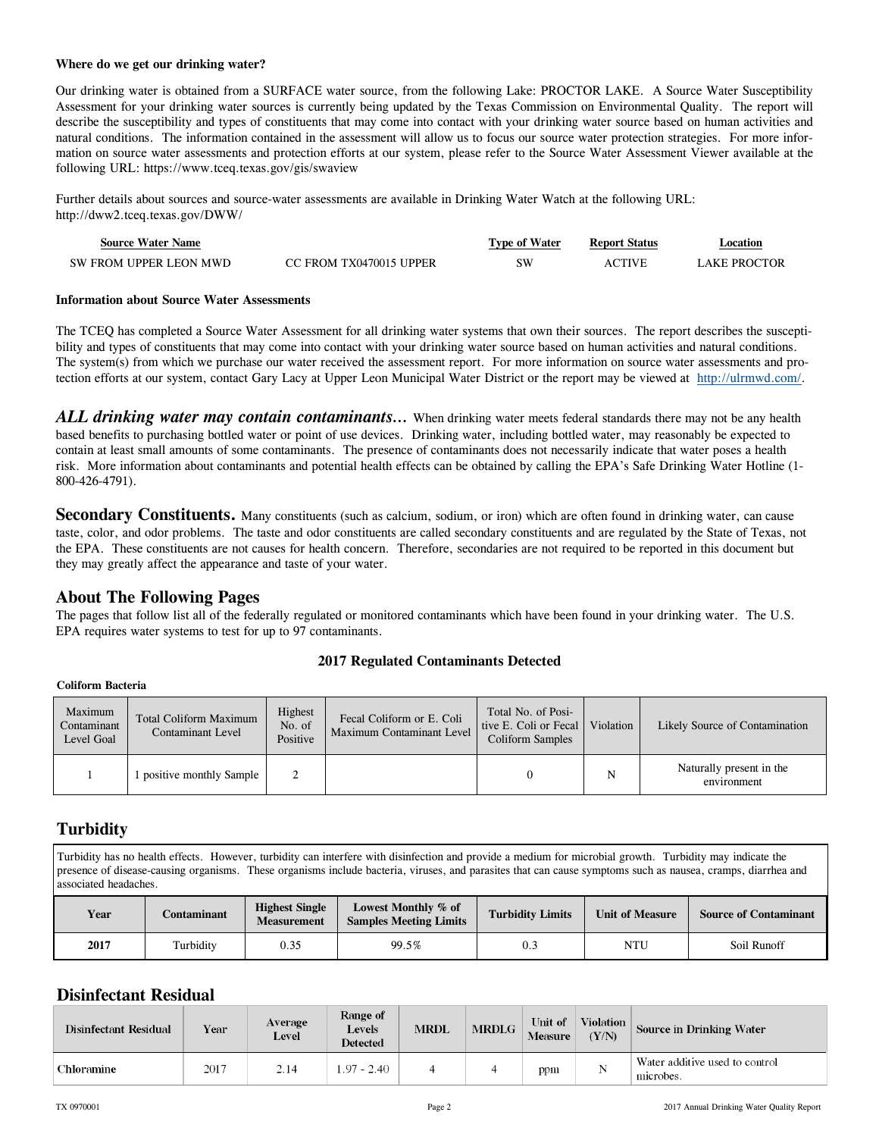#### **Where do we get our drinking water?**

Our drinking water is obtained from a SURFACE water source, from the following Lake: PROCTOR LAKE. A Source Water Susceptibility Assessment for your drinking water sources is currently being updated by the Texas Commission on Environmental Quality. The report will describe the susceptibility and types of constituents that may come into contact with your drinking water source based on human activities and natural conditions. The information contained in the assessment will allow us to focus our source water protection strategies. For more information on source water assessments and protection efforts at our system, please refer to the Source Water Assessment Viewer available at the following URL: https://www.tceq.texas.gov/gis/swaview

Further details about sources and source-water assessments are available in Drinking Water Watch at the following URL: http://dww2.tceq.texas.gov/DWW/

| <b>Source Water Name</b> |                         | <b>Type of Water</b> | <b>Report Status</b> | Location     |
|--------------------------|-------------------------|----------------------|----------------------|--------------|
| SW FROM UPPER LEON MWD   | CC FROM TX0470015 UPPER | SW                   | <b>ACTIVE</b>        | LAKE PROCTOR |

#### **Information about Source Water Assessments**

The TCEQ has completed a Source Water Assessment for all drinking water systems that own their sources. The report describes the susceptibility and types of constituents that may come into contact with your drinking water source based on human activities and natural conditions. The system(s) from which we purchase our water received the assessment report. For more information on source water assessments and protection efforts at our system, contact Gary Lacy at Upper Leon Municipal Water District or the report may be viewed at http://ulrmwd.com/.

*ALL drinking water may contain contaminants…* When drinking water meets federal standards there may not be any health based benefits to purchasing bottled water or point of use devices. Drinking water, including bottled water, may reasonably be expected to contain at least small amounts of some contaminants. The presence of contaminants does not necessarily indicate that water poses a health risk. More information about contaminants and potential health effects can be obtained by calling the EPA's Safe Drinking Water Hotline (1- 800-426-4791).

Secondary Constituents. Many constituents (such as calcium, sodium, or iron) which are often found in drinking water, can cause taste, color, and odor problems. The taste and odor constituents are called secondary constituents and are regulated by the State of Texas, not the EPA. These constituents are not causes for health concern. Therefore, secondaries are not required to be reported in this document but they may greatly affect the appearance and taste of your water.

### **About The Following Pages**

The pages that follow list all of the federally regulated or monitored contaminants which have been found in your drinking water. The U.S. EPA requires water systems to test for up to 97 contaminants.

#### **2017 Regulated Contaminants Detected**

#### **Coliform Bacteria**

| Maximum<br>Contaminant<br>Level Goal | <b>Total Coliform Maximum</b><br>Contaminant Level | Highest<br>No. of<br>Positive | Fecal Coliform or E. Coli<br>Maximum Contaminant Level | Total No. of Posi-<br>tive E. Coli or Fecal<br>Coliform Samples | Violation | Likely Source of Contamination          |
|--------------------------------------|----------------------------------------------------|-------------------------------|--------------------------------------------------------|-----------------------------------------------------------------|-----------|-----------------------------------------|
|                                      | 1 positive monthly Sample                          |                               |                                                        |                                                                 | N         | Naturally present in the<br>environment |

### **Turbidity**

Turbidity has no health effects. However, turbidity can interfere with disinfection and provide a medium for microbial growth. Turbidity may indicate the presence of disease-causing organisms. These organisms include bacteria, viruses, and parasites that can cause symptoms such as nausea, cramps, diarrhea and associated headaches.

| Year | Contaminant | <b>Highest Single</b><br><b>Measurement</b> | Lowest Monthly % of<br><b>Samples Meeting Limits</b> | <b>Turbidity Limits</b> | <b>Unit of Measure</b> | <b>Source of Contaminant</b> |
|------|-------------|---------------------------------------------|------------------------------------------------------|-------------------------|------------------------|------------------------------|
| 2017 | Turbidity   | 0.35                                        | 99.5%                                                | $_{0.3}$                | NTU                    | Soil Runoff                  |

### **Disinfectant Residual**

| Disinfectant Residual | Year | Average<br><b>Level</b> | Range of<br>Levels<br>Detected | <b>MRDL</b> | <b>MRDLG</b> | Unit of<br><b>Measure</b> | Violation<br>(Y/N) | Source in Drinking Water                    |
|-----------------------|------|-------------------------|--------------------------------|-------------|--------------|---------------------------|--------------------|---------------------------------------------|
| Chloramine            | 2017 | 2.14                    | 1.97 - 2.40                    |             |              | ppm                       |                    | Water additive used to control<br>microbes. |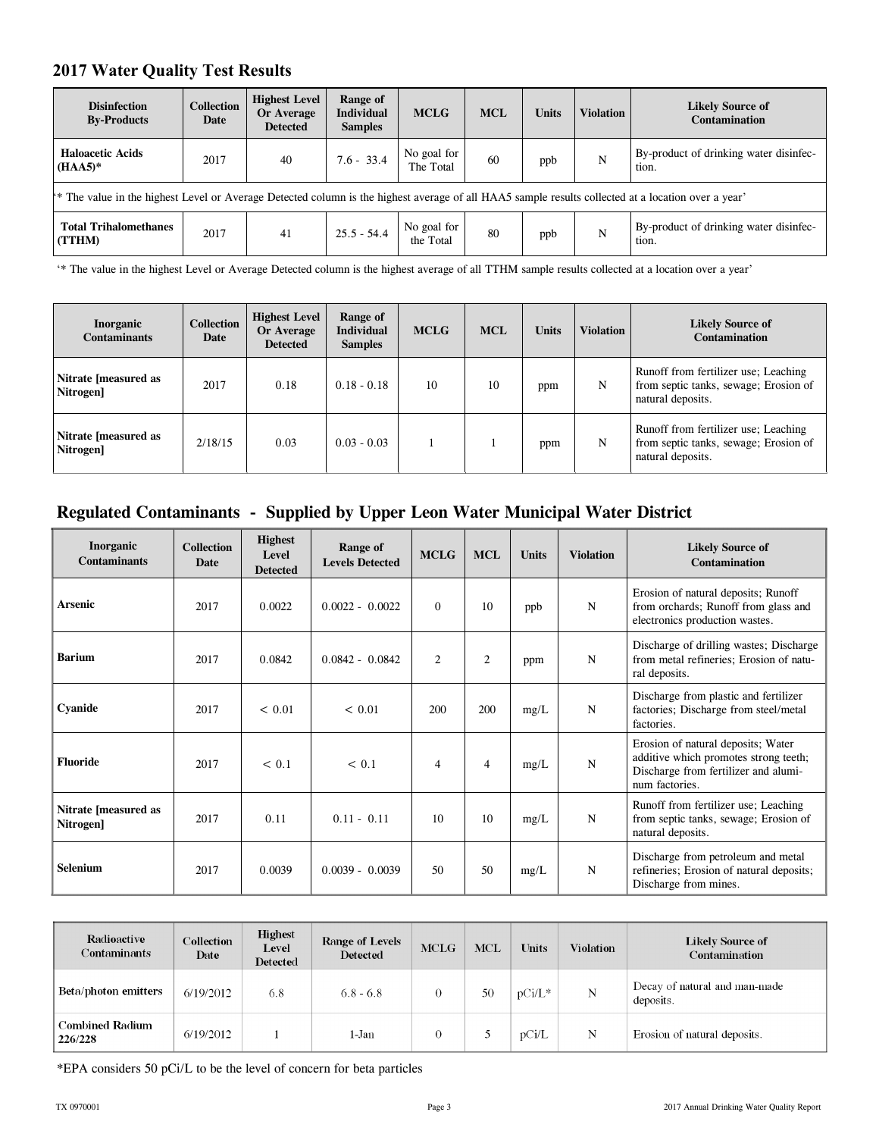### **2017 Water Quality Test Results**

| <b>Disinfection</b><br><b>By-Products</b>                                                                                                           | <b>Collection</b><br>Date | <b>Highest Level</b><br>Or Average<br><b>Detected</b> | Range of<br><b>Individual</b><br><b>Samples</b> | <b>MCLG</b>              | <b>MCL</b> | <b>Units</b> | <b>Violation</b> | <b>Likely Source of</b><br><b>Contamination</b> |
|-----------------------------------------------------------------------------------------------------------------------------------------------------|---------------------------|-------------------------------------------------------|-------------------------------------------------|--------------------------|------------|--------------|------------------|-------------------------------------------------|
| <b>Haloacetic Acids</b><br>$(HAA5)^*$                                                                                                               | 2017                      | 40                                                    | $7.6 - 33.4$                                    | No goal for<br>The Total | 60         | ppb          | N                | By-product of drinking water disinfec-<br>tion. |
| ** The value in the highest Level or Average Detected column is the highest average of all HAA5 sample results collected at a location over a year' |                           |                                                       |                                                 |                          |            |              |                  |                                                 |
| <b>Total Trihalomethanes</b><br>(TTHM)                                                                                                              | 2017                      | 41                                                    | $25.5 - 54.4$                                   | No goal for<br>the Total | 80         | ppb          | N                | By-product of drinking water disinfec-<br>tion. |

'\* The value in the highest Level or Average Detected column is the highest average of all TTHM sample results collected at a location over a year'

| Inorganic<br><b>Contaminants</b>        | <b>Collection</b><br>Date | <b>Highest Level</b><br>Or Average<br><b>Detected</b> | Range of<br><b>Individual</b><br><b>Samples</b> | <b>MCLG</b> | <b>MCL</b> | <b>Units</b> | <b>Violation</b> | <b>Likely Source of</b><br><b>Contamination</b>                                                    |
|-----------------------------------------|---------------------------|-------------------------------------------------------|-------------------------------------------------|-------------|------------|--------------|------------------|----------------------------------------------------------------------------------------------------|
| Nitrate [measured as<br><b>Nitrogen</b> | 2017                      | 0.18                                                  | $0.18 - 0.18$                                   | 10          | 10         | ppm          | N                | Runoff from fertilizer use; Leaching<br>from septic tanks, sewage; Erosion of<br>natural deposits. |
| Nitrate [measured as<br><b>Nitrogen</b> | 2/18/15                   | 0.03                                                  | $0.03 - 0.03$                                   |             |            | ppm          | N                | Runoff from fertilizer use; Leaching<br>from septic tanks, sewage; Erosion of<br>natural deposits. |

## **Regulated Contaminants - Supplied by Upper Leon Water Municipal Water District**

| <b>Inorganic</b><br><b>Contaminants</b> | <b>Collection</b><br>Date | <b>Highest</b><br>Level<br><b>Detected</b> | Range of<br><b>Levels Detected</b> | <b>MCLG</b>    | <b>MCL</b>     | <b>Units</b> | <b>Violation</b> | <b>Likely Source of</b><br>Contamination                                                                                              |
|-----------------------------------------|---------------------------|--------------------------------------------|------------------------------------|----------------|----------------|--------------|------------------|---------------------------------------------------------------------------------------------------------------------------------------|
| Arsenic                                 | 2017                      | 0.0022                                     | $0.0022 - 0.0022$                  | $\theta$       | 10             | ppb          | ${\bf N}$        | Erosion of natural deposits; Runoff<br>from orchards; Runoff from glass and<br>electronics production wastes.                         |
| <b>Barium</b>                           | 2017                      | 0.0842                                     | $0.0842 - 0.0842$                  | $\overline{c}$ | $\overline{2}$ | ppm          | $\mathbf N$      | Discharge of drilling wastes; Discharge<br>from metal refineries; Erosion of natu-<br>ral deposits.                                   |
| Cyanide                                 | 2017                      | < 0.01                                     | < 0.01                             | 200            | 200            | mg/L         | $\mathbf N$      | Discharge from plastic and fertilizer<br>factories; Discharge from steel/metal<br>factories.                                          |
| <b>Fluoride</b>                         | 2017                      | < 0.1                                      | < 0.1                              | $\overline{4}$ | $\overline{4}$ | mg/L         | $\mathbf N$      | Erosion of natural deposits; Water<br>additive which promotes strong teeth;<br>Discharge from fertilizer and alumi-<br>num factories. |
| Nitrate [measured as<br>Nitrogen]       | 2017                      | 0.11                                       | $0.11 - 0.11$                      | 10             | 10             | mg/L         | $\mathbf N$      | Runoff from fertilizer use; Leaching<br>from septic tanks, sewage; Erosion of<br>natural deposits.                                    |
| Selenium                                | 2017                      | 0.0039                                     | $0.0039 - 0.0039$                  | 50             | 50             | mg/L         | N                | Discharge from petroleum and metal<br>refineries; Erosion of natural deposits;<br>Discharge from mines.                               |

| Radioactive<br>Contaminants       | <b>Collection</b><br>Date | <b>Highest</b><br>Level<br>Detected | <b>Range of Levels</b><br><b>Detected</b> | <b>MCLG</b> | <b>MCL</b> | <b>Units</b> | <b>Violation</b> | Likely Source of<br>Contamination          |
|-----------------------------------|---------------------------|-------------------------------------|-------------------------------------------|-------------|------------|--------------|------------------|--------------------------------------------|
| <b>Beta/photon emitters</b>       | 6/19/2012                 | 6.8                                 | $6.8 - 6.8$                               |             | 50         | $pCi/L^*$    | N                | Decay of natural and man-made<br>deposits. |
| <b>Combined Radium</b><br>226/228 | 6/19/2012                 |                                     | 1-Jan                                     |             |            | pCi/L        | N                | Erosion of natural deposits.               |

\*EPA considers 50 pCi/L to be the level of concern for beta particles